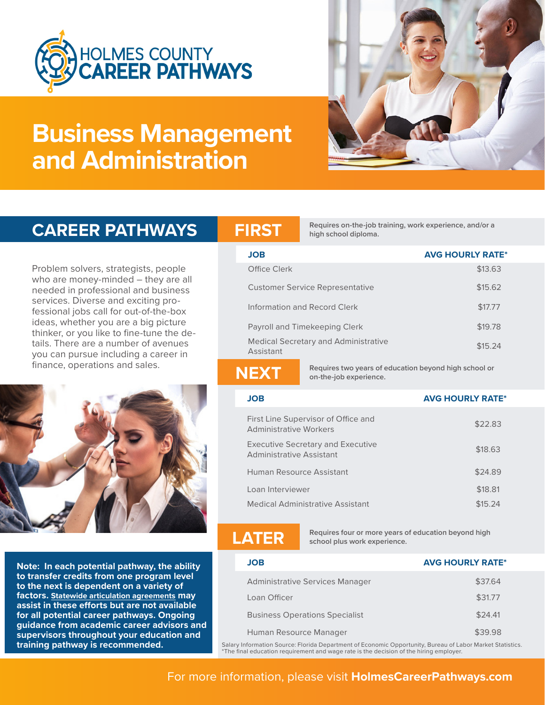

# **Business Management and Administration**



**Requires on-the-job training, work experience, and/or a CAREER PATHWAYS FIRST high school diploma.** 

|  |  | <b>CAREER PATHWAYS</b> |
|--|--|------------------------|
|  |  |                        |

Problem solvers, strategists, people who are money-minded – they are all needed in professional and business services. Diverse and exciting professional jobs call for out-of-the-box ideas, whether you are a big picture thinker, or you like to fine-tune the details. There are a number of avenues you can pursue including a career in finance, operations and sales.



**Note: In each potential pathway, the ability to transfer credits from one program level to the next is dependent on a variety of factors. Statewide articulation agreements may assist in these efforts but are not available for all potential career pathways. Ongoing guidance from academic career advisors and supervisors throughout your education and** 

| <b>JOB</b>                                               | <b>AVG HOURLY RATE*</b> |
|----------------------------------------------------------|-------------------------|
| Office Clerk                                             | \$13.63                 |
| Customer Service Representative                          | \$15.62                 |
| Information and Record Clerk                             | \$17.77                 |
| Payroll and Timekeeping Clerk                            | \$19.78                 |
| <b>Medical Secretary and Administrative</b><br>Assistant | \$15.24                 |
|                                                          |                         |

**Requires two years of education beyond high school or NEXT on-the-job experience.**

### **JOB AVG HOURLY RATE\***

| First Line Supervisor of Office and<br><b>Administrative Workers</b>        | \$22.83 |
|-----------------------------------------------------------------------------|---------|
| <b>Executive Secretary and Executive</b><br><b>Administrative Assistant</b> | \$18.63 |
| Human Resource Assistant                                                    | \$24.89 |
| Loan Interviewer                                                            | \$18.81 |
| <b>Medical Administrative Assistant</b>                                     | \$15.24 |

**Requires four or more years of education beyond high** school plus work experience.

| JOB                                   | <b>AVG HOURLY RATE*</b> |
|---------------------------------------|-------------------------|
| Administrative Services Manager       | \$37.64                 |
| Loan Officer                          | \$31.77                 |
| <b>Business Operations Specialist</b> | \$24.41                 |
| Human Resource Manager                | \$39.98                 |
|                                       |                         |

**training pathway is recommended.** Salary Information Source: Florida Department of Economic Opportunity, Bureau of Labor Market Statistics.<br>The final education requirement and wage rate is the decision of the hiring emplo

## For more information, please visit **HolmesCareerPathways.com**